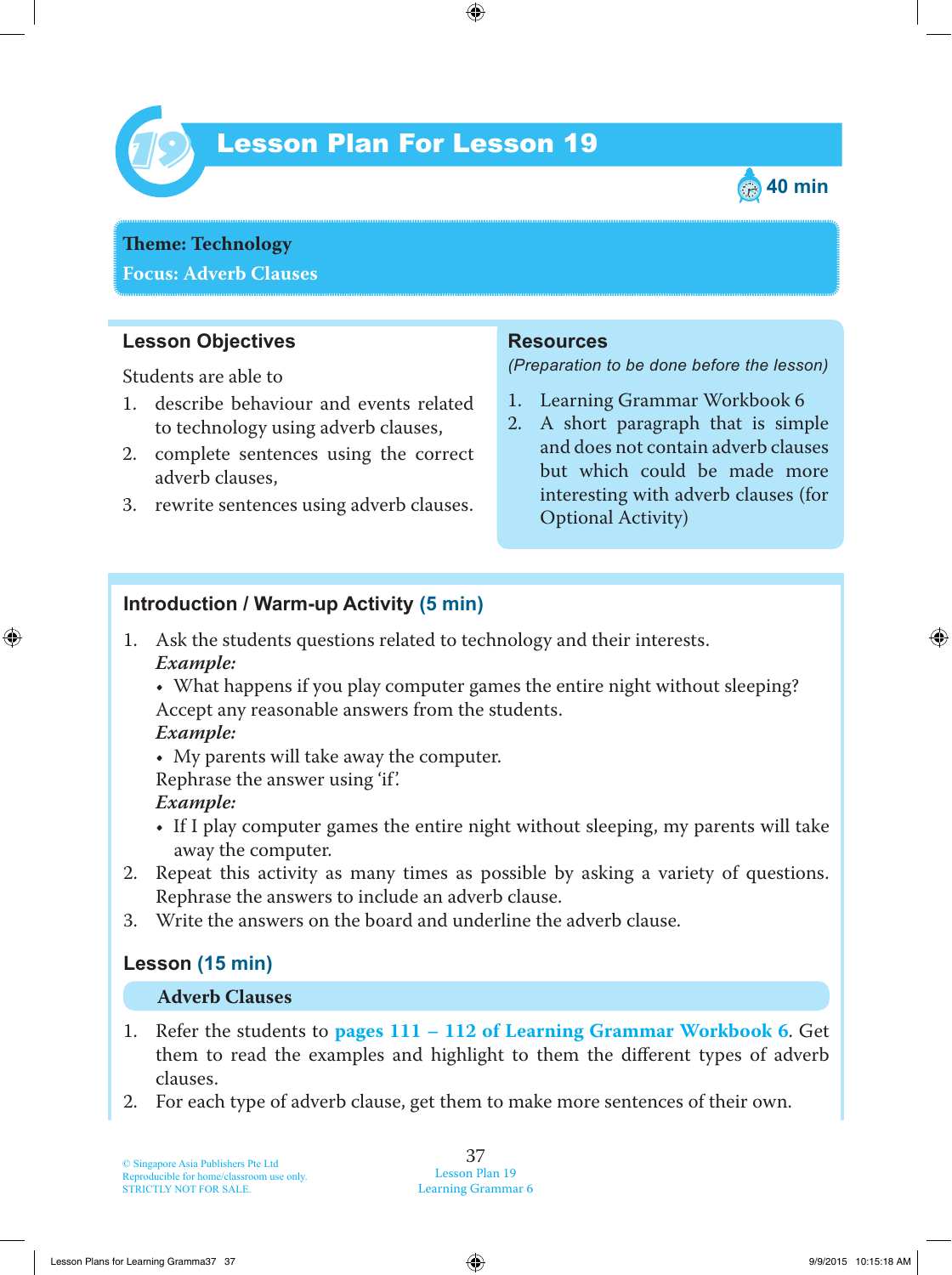

# Lesson Plan For Lesson 19 *19*



**Theme: Technology Focus: Adverb Clauses**

## **Lesson Objectives**

Students are able to

- 1 . describe behaviour and events related to technology using adverb clauses,
- 2. complete sentences using the correct adverb clauses,
- 3. rewrite sentences using adverb clauses.

#### **Resources**

*(Preparation to be done before the lesson)*

- 1. Learning Grammar Workbook 6
- 2. A short paragraph that is simple and does not contain adverb clauses but which could be made more interesting with adverb clauses (for Optional Activity)

### **Introduction / Warm-up Activity (5 min)**

1. Ask the students questions related to technology and their interests.  *Example:*

• What happens if you play computer games the entire night without sleeping? Accept any reasonable answers from the students.

#### *Example:*

• My parents will take away the computer.

Rephrase the answer using 'if'.

### *Example:*

- If I play computer games the entire night without sleeping, my parents will take away the computer.
- 2. Repeat this activity as many times as possible by asking a variety of questions. Rephrase the answers to include an adverb clause.
- 3. Write the answers on the board and underline the adverb clause.

## **Lesson (15 min)**

#### **Adverb Clauses**

- 1 . Refer the students to **pages 111 – 112 of Learning Grammar Workbook 6**. Get them to read the examples and highlight to them the different types of adverb clauses.
- 2. For each type of adverb clause, get them to make more sentences of their own.